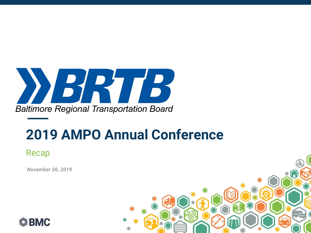

Recap

*DATE November 26, 2019*



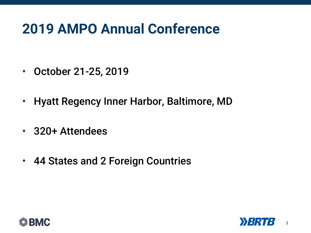- October 21-25, 2019
- Hyatt Regency Inner Harbor, Baltimore, MD
- 320+ Attendees
- 44 States and 2 Foreign Countries



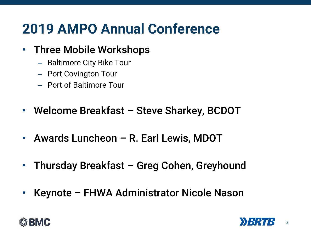### • Three Mobile Workshops

- Baltimore City Bike Tour
- Port Covington Tour
- Port of Baltimore Tour
- Welcome Breakfast Steve Sharkey, BCDOT
- Awards Luncheon R. Earl Lewis, MDOT
- Thursday Breakfast Greg Cohen, Greyhound
- Keynote FHWA Administrator Nicole Nason



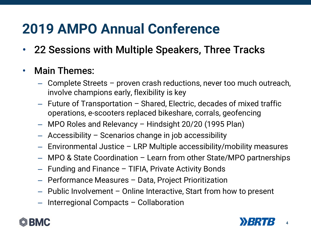• 22 Sessions with Multiple Speakers, Three Tracks

#### • Main Themes:

- Complete Streets proven crash reductions, never too much outreach, involve champions early, flexibility is key
- Future of Transportation Shared, Electric, decades of mixed traffic operations, e-scooters replaced bikeshare, corrals, geofencing
- MPO Roles and Relevancy Hindsight 20/20 (1995 Plan)
- Accessibility Scenarios change in job accessibility
- Environmental Justice LRP Multiple accessibility/mobility measures
- MPO & State Coordination Learn from other State/MPO partnerships
- Funding and Finance TIFIA, Private Activity Bonds
- Performance Measures Data, Project Prioritization
- Public Involvement Online Interactive, Start from how to present
- Interregional Compacts Collaboration



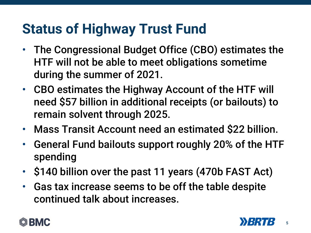# **Status of Highway Trust Fund**

- The Congressional Budget Office (CBO) estimates the HTF will not be able to meet obligations sometime during the summer of 2021.
- CBO estimates the Highway Account of the HTF will need \$57 billion in additional receipts (or bailouts) to remain solvent through 2025.
- Mass Transit Account need an estimated \$22 billion.
- General Fund bailouts support roughly 20% of the HTF spending
- \$140 billion over the past 11 years (470b FAST Act)
- Gas tax increase seems to be off the table despite continued talk about increases.



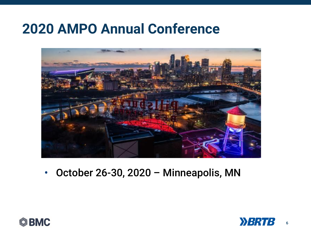

• October 26-30, 2020 – Minneapolis, MN